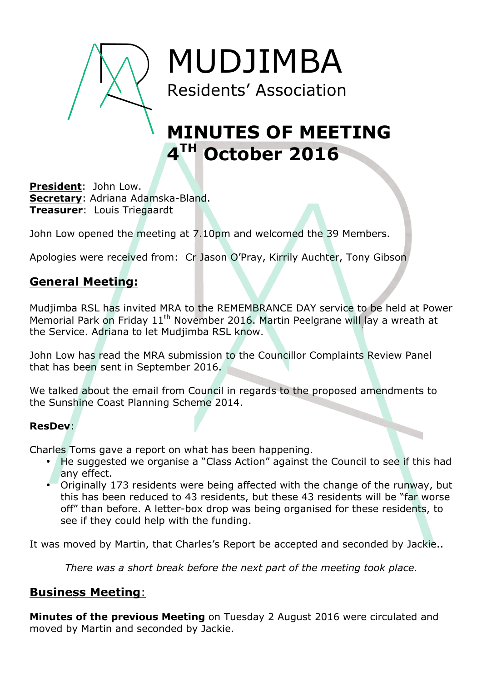

MUDJIMBA Residents' Association

# **MINUTES OF MEETING 4TH October 2016**

**President**: John Low. **Secretary**: Adriana Adamska-Bland. **Treasurer**: Louis Triegaardt

John Low opened the meeting at 7.10pm and welcomed the 39 Members.

Apologies were received from: Cr Jason O'Pray, Kirrily Auchter, Tony Gibson

### **General Meeting:**

Mudjimba RSL has invited MRA to the REMEMBRANCE DAY service to be held at Power Memorial Park on Friday 11<sup>th</sup> November 2016. Martin Peelgrane will lay a wreath at the Service. Adriana to let Mudjimba RSL know.

John Low has read the MRA submission to the Councillor Complaints Review Panel that has been sent in September 2016.

We talked about the email from Council in regards to the proposed amendments to the Sunshine Coast Planning Scheme 2014.

#### **ResDev**:

Charles Toms gave a report on what has been happening.

- He suggested we organise a "Class Action" against the Council to see if this had any effect.
- Originally 173 residents were being affected with the change of the runway, but this has been reduced to 43 residents, but these 43 residents will be "far worse off" than before. A letter-box drop was being organised for these residents, to see if they could help with the funding.

It was moved by Martin, that Charles's Report be accepted and seconded by Jackie..

*There was a short break before the next part of the meeting took place.*

## **Business Meeting**:

**Minutes of the previous Meeting** on Tuesday 2 August 2016 were circulated and moved by Martin and seconded by Jackie.